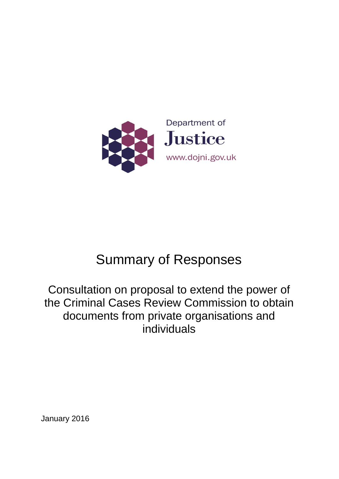

# Summary of Responses

# Consultation on proposal to extend the power of the Criminal Cases Review Commission to obtain documents from private organisations and individuals

January 2016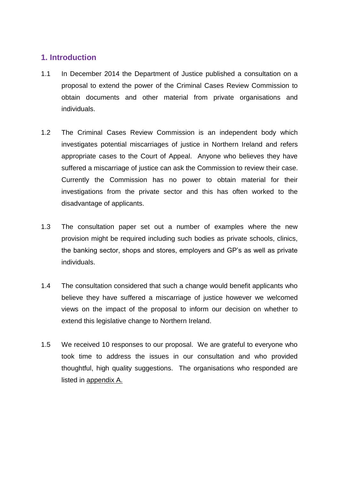# **1. Introduction**

- 1.1 In December 2014 the Department of Justice published a consultation on a proposal to extend the power of the Criminal Cases Review Commission to obtain documents and other material from private organisations and individuals.
- 1.2 The Criminal Cases Review Commission is an independent body which investigates potential miscarriages of justice in Northern Ireland and refers appropriate cases to the Court of Appeal. Anyone who believes they have suffered a miscarriage of justice can ask the Commission to review their case. Currently the Commission has no power to obtain material for their investigations from the private sector and this has often worked to the disadvantage of applicants.
- 1.3 The consultation paper set out a number of examples where the new provision might be required including such bodies as private schools, clinics, the banking sector, shops and stores, employers and GP's as well as private individuals.
- 1.4 The consultation considered that such a change would benefit applicants who believe they have suffered a miscarriage of justice however we welcomed views on the impact of the proposal to inform our decision on whether to extend this legislative change to Northern Ireland.
- 1.5 We received 10 responses to our proposal. We are grateful to everyone who took time to address the issues in our consultation and who provided thoughtful, high quality suggestions. The organisations who responded are listed in appendix A.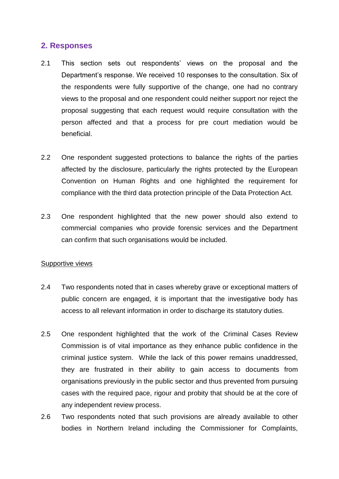## **2. Responses**

- 2.1 This section sets out respondents' views on the proposal and the Department's response. We received 10 responses to the consultation. Six of the respondents were fully supportive of the change, one had no contrary views to the proposal and one respondent could neither support nor reject the proposal suggesting that each request would require consultation with the person affected and that a process for pre court mediation would be beneficial.
- 2.2 One respondent suggested protections to balance the rights of the parties affected by the disclosure, particularly the rights protected by the European Convention on Human Rights and one highlighted the requirement for compliance with the third data protection principle of the Data Protection Act.
- 2.3 One respondent highlighted that the new power should also extend to commercial companies who provide forensic services and the Department can confirm that such organisations would be included.

#### Supportive views

- 2.4 Two respondents noted that in cases whereby grave or exceptional matters of public concern are engaged, it is important that the investigative body has access to all relevant information in order to discharge its statutory duties.
- 2.5 One respondent highlighted that the work of the Criminal Cases Review Commission is of vital importance as they enhance public confidence in the criminal justice system. While the lack of this power remains unaddressed, they are frustrated in their ability to gain access to documents from organisations previously in the public sector and thus prevented from pursuing cases with the required pace, rigour and probity that should be at the core of any independent review process.
- 2.6 Two respondents noted that such provisions are already available to other bodies in Northern Ireland including the Commissioner for Complaints,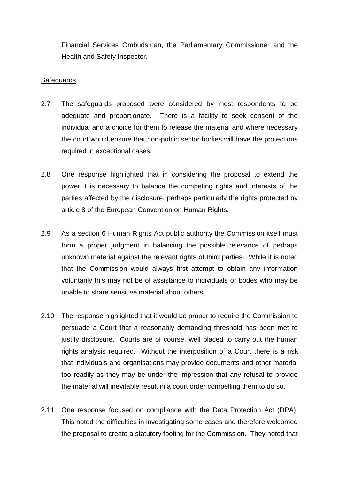Financial Services Ombudsman, the Parliamentary Commissioner and the Health and Safety Inspector.

#### **Safeguards**

- 2.7 The safeguards proposed were considered by most respondents to be adequate and proportionate. There is a facility to seek consent of the individual and a choice for them to release the material and where necessary the court would ensure that non-public sector bodies will have the protections required in exceptional cases.
- 2.8 One response highlighted that in considering the proposal to extend the power it is necessary to balance the competing rights and interests of the parties affected by the disclosure, perhaps particularly the rights protected by article 8 of the European Convention on Human Rights.
- 2.9 As a section 6 Human Rights Act public authority the Commission itself must form a proper judgment in balancing the possible relevance of perhaps unknown material against the relevant rights of third parties. While it is noted that the Commission would always first attempt to obtain any information voluntarily this may not be of assistance to individuals or bodes who may be unable to share sensitive material about others.
- 2.10 The response highlighted that it would be proper to require the Commission to persuade a Court that a reasonably demanding threshold has been met to justify disclosure. Courts are of course, well placed to carry out the human rights analysis required. Without the interposition of a Court there is a risk that individuals and organisations may provide documents and other material too readily as they may be under the impression that any refusal to provide the material will inevitable result in a court order compelling them to do so.
- 2.11 One response focused on compliance with the Data Protection Act (DPA). This noted the difficulties in investigating some cases and therefore welcomed the proposal to create a statutory footing for the Commission. They noted that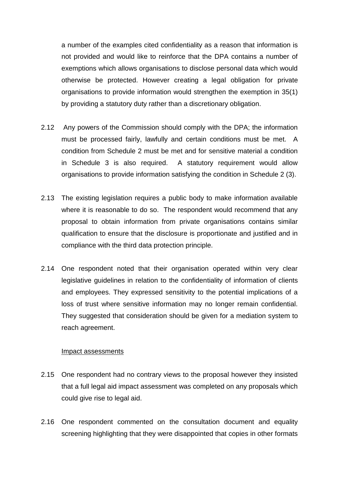a number of the examples cited confidentiality as a reason that information is not provided and would like to reinforce that the DPA contains a number of exemptions which allows organisations to disclose personal data which would otherwise be protected. However creating a legal obligation for private organisations to provide information would strengthen the exemption in 35(1) by providing a statutory duty rather than a discretionary obligation.

- 2.12 Any powers of the Commission should comply with the DPA; the information must be processed fairly, lawfully and certain conditions must be met. A condition from Schedule 2 must be met and for sensitive material a condition in Schedule 3 is also required. A statutory requirement would allow organisations to provide information satisfying the condition in Schedule 2 (3).
- 2.13 The existing legislation requires a public body to make information available where it is reasonable to do so. The respondent would recommend that any proposal to obtain information from private organisations contains similar qualification to ensure that the disclosure is proportionate and justified and in compliance with the third data protection principle.
- 2.14 One respondent noted that their organisation operated within very clear legislative guidelines in relation to the confidentiality of information of clients and employees. They expressed sensitivity to the potential implications of a loss of trust where sensitive information may no longer remain confidential. They suggested that consideration should be given for a mediation system to reach agreement.

#### Impact assessments

- 2.15 One respondent had no contrary views to the proposal however they insisted that a full legal aid impact assessment was completed on any proposals which could give rise to legal aid.
- 2.16 One respondent commented on the consultation document and equality screening highlighting that they were disappointed that copies in other formats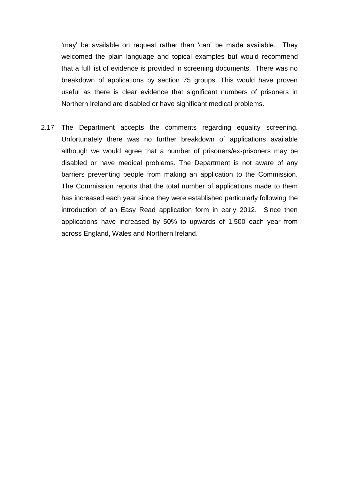'may' be available on request rather than 'can' be made available. They welcomed the plain language and topical examples but would recommend that a full list of evidence is provided in screening documents. There was no breakdown of applications by section 75 groups. This would have proven useful as there is clear evidence that significant numbers of prisoners in Northern Ireland are disabled or have significant medical problems.

2.17 The Department accepts the comments regarding equality screening. Unfortunately there was no further breakdown of applications available although we would agree that a number of prisoners/ex-prisoners may be disabled or have medical problems. The Department is not aware of any barriers preventing people from making an application to the Commission. The Commission reports that the total number of applications made to them has increased each year since they were established particularly following the introduction of an Easy Read application form in early 2012. Since then applications have increased by 50% to upwards of 1,500 each year from across England, Wales and Northern Ireland.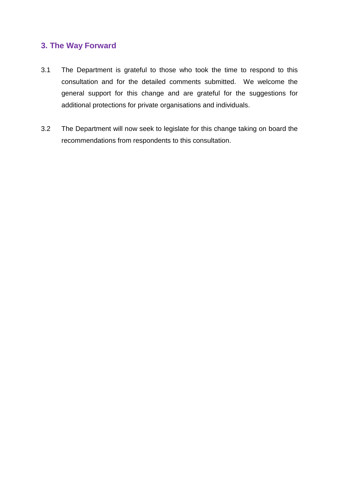## **3. The Way Forward**

- 3.1 The Department is grateful to those who took the time to respond to this consultation and for the detailed comments submitted. We welcome the general support for this change and are grateful for the suggestions for additional protections for private organisations and individuals.
- 3.2 The Department will now seek to legislate for this change taking on board the recommendations from respondents to this consultation.